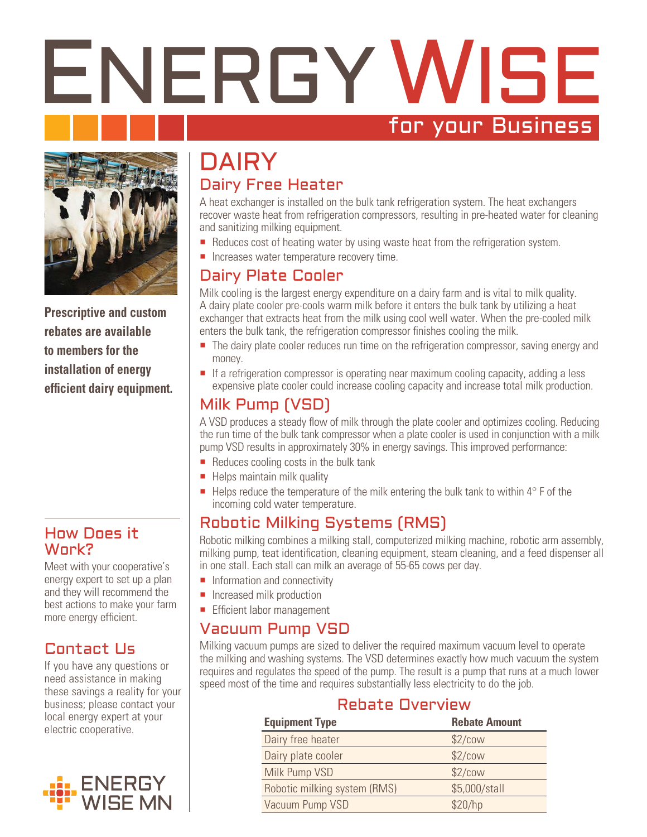# ENERGY WISE for your Business



**Prescriptive and custom rebates are available to members for the installation of energy efficient dairy equipment.**

#### How Does it Work?

Meet with your cooperative's energy expert to set up a plan and they will recommend the best actions to make your farm more energy efficient.

# Contact Us

If you have any questions or need assistance in making these savings a reality for your business; please contact your local energy expert at your electric cooperative.



# **DAIRY** Dairy Free Heater

A heat exchanger is installed on the bulk tank refrigeration system. The heat exchangers recover waste heat from refrigeration compressors, resulting in pre-heated water for cleaning and sanitizing milking equipment.

- Reduces cost of heating water by using waste heat from the refrigeration system.
- **Increases water temperature recovery time.**

## Dairy Plate Cooler

Milk cooling is the largest energy expenditure on a dairy farm and is vital to milk quality. A dairy plate cooler pre-cools warm milk before it enters the bulk tank by utilizing a heat exchanger that extracts heat from the milk using cool well water. When the pre-cooled milk enters the bulk tank, the refrigeration compressor finishes cooling the milk.

- The dairy plate cooler reduces run time on the refrigeration compressor, saving energy and money.
- If a refrigeration compressor is operating near maximum cooling capacity, adding a less expensive plate cooler could increase cooling capacity and increase total milk production.

# Milk Pump (VSD)

A VSD produces a steady flow of milk through the plate cooler and optimizes cooling. Reducing the run time of the bulk tank compressor when a plate cooler is used in conjunction with a milk pump VSD results in approximately 30% in energy savings. This improved performance:

- Reduces cooling costs in the bulk tank
- $\blacksquare$  Helps maintain milk quality
- Helps reduce the temperature of the milk entering the bulk tank to within  $4^\circ$  F of the incoming cold water temperature.

### Robotic Milking Systems (RMS)

Robotic milking combines a milking stall, computerized milking machine, robotic arm assembly, milking pump, teat identification, cleaning equipment, steam cleaning, and a feed dispenser all in one stall. Each stall can milk an average of 55-65 cows per day.

- $\blacksquare$  Information and connectivity
- **Increased milk production**
- **Efficient labor management**

#### Vacuum Pump VSD

Milking vacuum pumps are sized to deliver the required maximum vacuum level to operate the milking and washing systems. The VSD determines exactly how much vacuum the system requires and regulates the speed of the pump. The result is a pump that runs at a much lower speed most of the time and requires substantially less electricity to do the job.

#### Rebate Overview

| <b>Equipment Type</b>        | <b>Rebate Amount</b> |
|------------------------------|----------------------|
| Dairy free heater            | \$2/cow              |
| Dairy plate cooler           | \$2/cow              |
| Milk Pump VSD                | \$2/cow              |
| Robotic milking system (RMS) | \$5,000/stall        |
| Vacuum Pump VSD              | \$20/hp              |